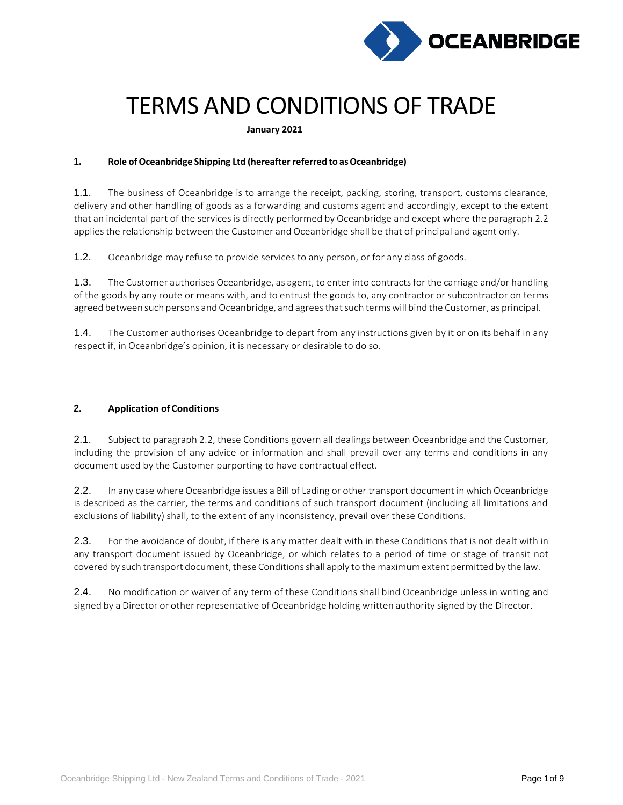

# TERMS AND CONDITIONS OF TRADE

**January 2021**

# **1. Role ofOceanbridge Shipping Ltd (hereafter referred to asOceanbridge)**

1.1. The business of Oceanbridge is to arrange the receipt, packing, storing, transport, customs clearance, delivery and other handling of goods as a forwarding and customs agent and accordingly, except to the extent that an incidental part of the services is directly performed by Oceanbridge and except where the paragraph 2.2 applies the relationship between the Customer and Oceanbridge shall be that of principal and agent only.

1.2. Oceanbridge may refuse to provide services to any person, or for any class of goods.

1.3. The Customer authorises Oceanbridge, as agent, to enter into contracts for the carriage and/or handling of the goods by any route or means with, and to entrust the goods to, any contractor or subcontractor on terms agreed between such persons and Oceanbridge, and agrees that such terms will bind the Customer, as principal.

1.4. The Customer authorises Oceanbridge to depart from any instructions given by it or on its behalf in any respect if, in Oceanbridge's opinion, it is necessary or desirable to do so.

# **2. Application ofConditions**

2.1. Subject to paragraph 2.2, these Conditions govern all dealings between Oceanbridge and the Customer, including the provision of any advice or information and shall prevail over any terms and conditions in any document used by the Customer purporting to have contractual effect.

2.2. In any case where Oceanbridge issues a Bill of Lading or other transport document in which Oceanbridge is described as the carrier, the terms and conditions of such transport document (including all limitations and exclusions of liability) shall, to the extent of any inconsistency, prevail over these Conditions.

2.3. For the avoidance of doubt, if there is any matter dealt with in these Conditions that is not dealt with in any transport document issued by Oceanbridge, or which relates to a period of time or stage of transit not covered by such transport document, these Conditions shall apply to the maximum extent permitted by the law.

2.4. No modification or waiver of any term of these Conditions shall bind Oceanbridge unless in writing and signed by a Director or other representative of Oceanbridge holding written authority signed by the Director.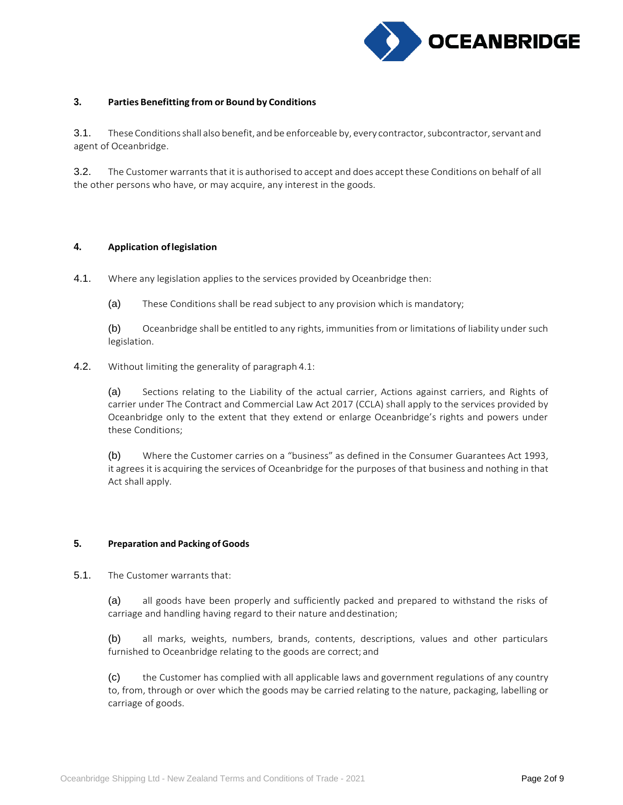

#### **3. Parties Benefitting from or Bound by Conditions**

3.1. These Conditions shall also benefit, and be enforceable by, every contractor, subcontractor, servant and agent of Oceanbridge.

3.2. The Customer warrants that it is authorised to accept and does accept these Conditions on behalf of all the other persons who have, or may acquire, any interest in the goods.

#### **4. Application oflegislation**

- 4.1. Where any legislation applies to the services provided by Oceanbridge then:
	- (a) These Conditions shall be read subject to any provision which is mandatory;

(b) Oceanbridge shall be entitled to any rights, immunities from or limitations of liability under such legislation.

4.2. Without limiting the generality of paragraph 4.1:

(a) Sections relating to the Liability of the actual carrier, Actions against carriers, and Rights of carrier under The Contract and Commercial Law Act 2017 (CCLA) shall apply to the services provided by Oceanbridge only to the extent that they extend or enlarge Oceanbridge's rights and powers under these Conditions;

(b) Where the Customer carries on a "business" as defined in the Consumer Guarantees Act 1993, it agrees it is acquiring the services of Oceanbridge for the purposes of that business and nothing in that Act shall apply.

## **5. Preparation and Packing of Goods**

5.1. The Customer warrants that:

(a) all goods have been properly and sufficiently packed and prepared to withstand the risks of carriage and handling having regard to their nature anddestination;

(b) all marks, weights, numbers, brands, contents, descriptions, values and other particulars furnished to Oceanbridge relating to the goods are correct; and

(c) the Customer has complied with all applicable laws and government regulations of any country to, from, through or over which the goods may be carried relating to the nature, packaging, labelling or carriage of goods.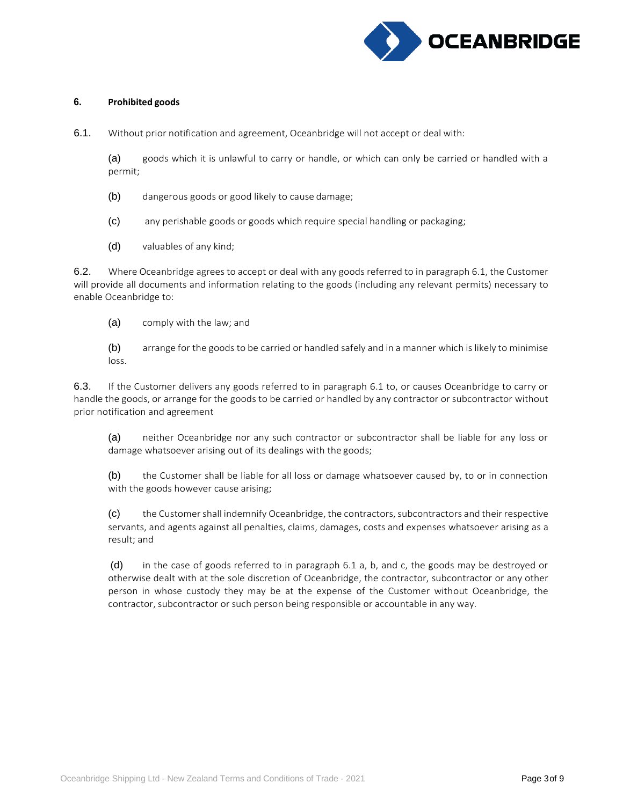

#### **6. Prohibited goods**

6.1. Without prior notification and agreement, Oceanbridge will not accept or deal with:

(a) goods which it is unlawful to carry or handle, or which can only be carried or handled with a permit;

- (b) dangerous goods or good likely to cause damage;
- (c) any perishable goods or goods which require special handling or packaging;
- (d) valuables of any kind;

6.2. Where Oceanbridge agreesto accept or deal with any goods referred to in paragraph 6.1, the Customer will provide all documents and information relating to the goods (including any relevant permits) necessary to enable Oceanbridge to:

(a) comply with the law; and

(b) arrange for the goods to be carried or handled safely and in a manner which is likely to minimise loss.

6.3. If the Customer delivers any goods referred to in paragraph 6.1 to, or causes Oceanbridge to carry or handle the goods, or arrange for the goods to be carried or handled by any contractor or subcontractor without prior notification and agreement

(a) neither Oceanbridge nor any such contractor or subcontractor shall be liable for any loss or damage whatsoever arising out of its dealings with the goods;

(b) the Customer shall be liable for all loss or damage whatsoever caused by, to or in connection with the goods however cause arising;

(c) the Customershall indemnify Oceanbridge, the contractors,subcontractors and their respective servants, and agents against all penalties, claims, damages, costs and expenses whatsoever arising as a result; and

(d) in the case of goods referred to in paragraph 6.1 a, b, and c, the goods may be destroyed or otherwise dealt with at the sole discretion of Oceanbridge, the contractor, subcontractor or any other person in whose custody they may be at the expense of the Customer without Oceanbridge, the contractor, subcontractor or such person being responsible or accountable in any way.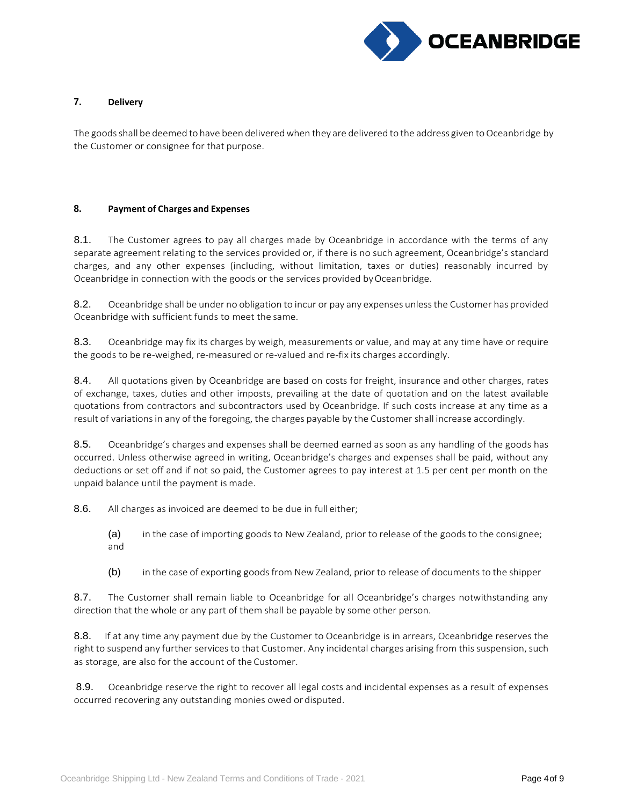

# **7. Delivery**

The goods shall be deemed to have been delivered when they are delivered to the address given to Oceanbridge by the Customer or consignee for that purpose.

#### **8. Payment of Charges and Expenses**

8.1. The Customer agrees to pay all charges made by Oceanbridge in accordance with the terms of any separate agreement relating to the services provided or, if there is no such agreement, Oceanbridge's standard charges, and any other expenses (including, without limitation, taxes or duties) reasonably incurred by Oceanbridge in connection with the goods or the services provided by Oceanbridge.

8.2. Oceanbridge shall be under no obligation to incur or pay any expenses unless the Customer has provided Oceanbridge with sufficient funds to meet the same.

8.3. Oceanbridge may fix its charges by weigh, measurements or value, and may at any time have or require the goods to be re-weighed, re-measured or re-valued and re-fix its charges accordingly.

8.4. All quotations given by Oceanbridge are based on costs for freight, insurance and other charges, rates of exchange, taxes, duties and other imposts, prevailing at the date of quotation and on the latest available quotations from contractors and subcontractors used by Oceanbridge. If such costs increase at any time as a result of variations in any of the foregoing, the charges payable by the Customer shall increase accordingly.

8.5. Oceanbridge's charges and expenses shall be deemed earned as soon as any handling of the goods has occurred. Unless otherwise agreed in writing, Oceanbridge's charges and expenses shall be paid, without any deductions or set off and if not so paid, the Customer agrees to pay interest at 1.5 per cent per month on the unpaid balance until the payment is made.

8.6. All charges as invoiced are deemed to be due in full either;

(a) in the case of importing goods to New Zealand, prior to release of the goods to the consignee; and

(b) in the case of exporting goods from New Zealand, prior to release of documents to the shipper

8.7. The Customer shall remain liable to Oceanbridge for all Oceanbridge's charges notwithstanding any direction that the whole or any part of them shall be payable by some other person.

8.8. If at any time any payment due by the Customer to Oceanbridge is in arrears, Oceanbridge reserves the right to suspend any further services to that Customer. Any incidental charges arising from this suspension, such as storage, are also for the account of the Customer.

8.9. Oceanbridge reserve the right to recover all legal costs and incidental expenses as a result of expenses occurred recovering any outstanding monies owed or disputed.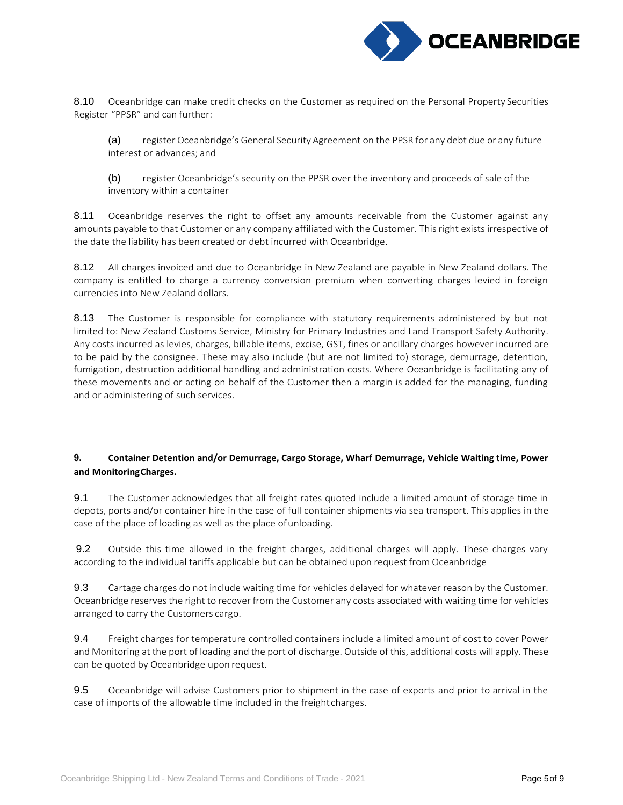

8.10 Oceanbridge can make credit checks on the Customer as required on the Personal Property Securities Register "PPSR" and can further:

(a) register Oceanbridge's General Security Agreement on the PPSR for any debt due or any future interest or advances; and

(b) register Oceanbridge's security on the PPSR over the inventory and proceeds of sale of the inventory within a container

8.11 Oceanbridge reserves the right to offset any amounts receivable from the Customer against any amounts payable to that Customer or any company affiliated with the Customer. This right exists irrespective of the date the liability has been created or debt incurred with Oceanbridge.

8.12 All charges invoiced and due to Oceanbridge in New Zealand are payable in New Zealand dollars. The company is entitled to charge a currency conversion premium when converting charges levied in foreign currencies into New Zealand dollars.

8.13 The Customer is responsible for compliance with statutory requirements administered by but not limited to: New Zealand Customs Service, Ministry for Primary Industries and Land Transport Safety Authority. Any costs incurred as levies, charges, billable items, excise, GST, fines or ancillary charges however incurred are to be paid by the consignee. These may also include (but are not limited to) storage, demurrage, detention, fumigation, destruction additional handling and administration costs. Where Oceanbridge is facilitating any of these movements and or acting on behalf of the Customer then a margin is added for the managing, funding and or administering of such services.

# **9. Container Detention and/or Demurrage, Cargo Storage, Wharf Demurrage, Vehicle Waiting time, Power and MonitoringCharges.**

9.1 The Customer acknowledges that all freight rates quoted include a limited amount of storage time in depots, ports and/or container hire in the case of full container shipments via sea transport. This applies in the case of the place of loading as well as the place ofunloading.

9.2 Outside this time allowed in the freight charges, additional charges will apply. These charges vary according to the individual tariffs applicable but can be obtained upon request from Oceanbridge

9.3 Cartage charges do not include waiting time for vehicles delayed for whatever reason by the Customer. Oceanbridge reservesthe right to recover from the Customer any costs associated with waiting time for vehicles arranged to carry the Customers cargo.

9.4 Freight charges for temperature controlled containers include a limited amount of cost to cover Power and Monitoring at the port of loading and the port of discharge. Outside of this, additional costs will apply. These can be quoted by Oceanbridge upon request.

9.5 Oceanbridge will advise Customers prior to shipment in the case of exports and prior to arrival in the case of imports of the allowable time included in the freightcharges.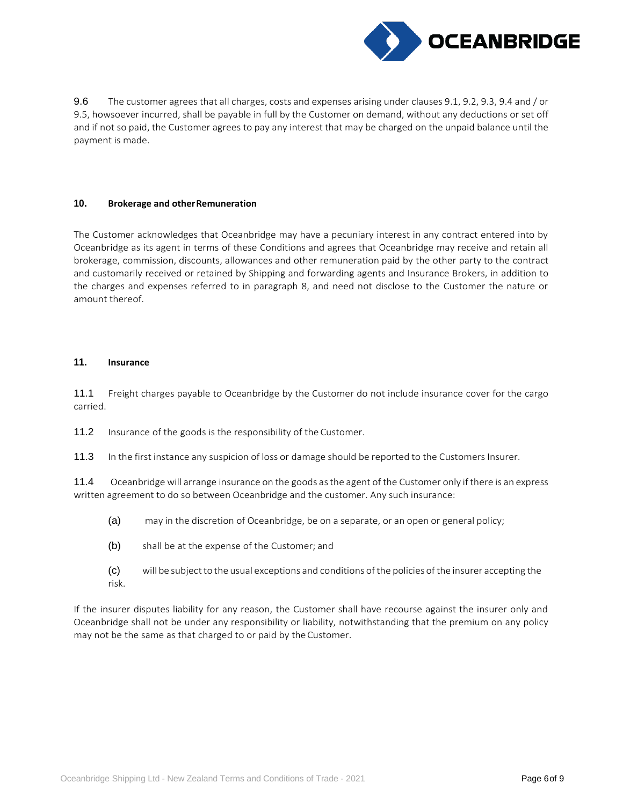

9.6 The customer agrees that all charges, costs and expenses arising under clauses 9.1, 9.2, 9.3, 9.4 and / or 9.5, howsoever incurred, shall be payable in full by the Customer on demand, without any deductions or set off and if not so paid, the Customer agrees to pay any interest that may be charged on the unpaid balance until the payment is made.

# **10. Brokerage and otherRemuneration**

The Customer acknowledges that Oceanbridge may have a pecuniary interest in any contract entered into by Oceanbridge as its agent in terms of these Conditions and agrees that Oceanbridge may receive and retain all brokerage, commission, discounts, allowances and other remuneration paid by the other party to the contract and customarily received or retained by Shipping and forwarding agents and Insurance Brokers, in addition to the charges and expenses referred to in paragraph 8, and need not disclose to the Customer the nature or amount thereof.

#### **11. Insurance**

11.1 Freight charges payable to Oceanbridge by the Customer do not include insurance cover for the cargo carried.

11.2 Insurance of the goods is the responsibility of the Customer.

11.3 In the first instance any suspicion of loss or damage should be reported to the Customers Insurer.

11.4 Oceanbridge will arrange insurance on the goods asthe agent of the Customer only if there is an express written agreement to do so between Oceanbridge and the customer. Any such insurance:

- (a) may in the discretion of Oceanbridge, be on a separate, or an open or general policy;
- (b) shall be at the expense of the Customer; and
- (c) will be subjectto the usual exceptions and conditions ofthe policies of the insurer accepting the risk.

If the insurer disputes liability for any reason, the Customer shall have recourse against the insurer only and Oceanbridge shall not be under any responsibility or liability, notwithstanding that the premium on any policy may not be the same as that charged to or paid by theCustomer.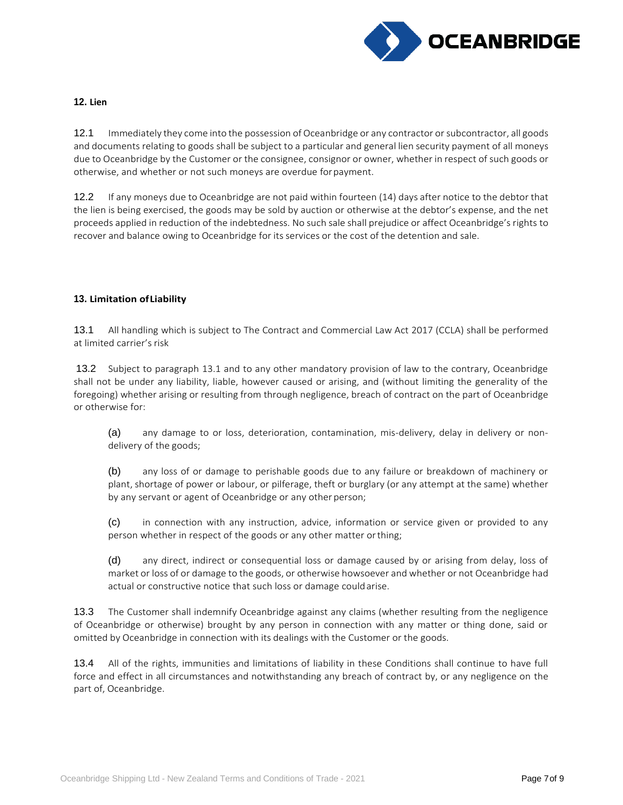

## **12. Lien**

12.1 Immediately they come into the possession of Oceanbridge or any contractor or subcontractor, all goods and documents relating to goods shall be subject to a particular and general lien security payment of all moneys due to Oceanbridge by the Customer or the consignee, consignor or owner, whether in respect of such goods or otherwise, and whether or not such moneys are overdue forpayment.

12.2 If any moneys due to Oceanbridge are not paid within fourteen (14) days after notice to the debtor that the lien is being exercised, the goods may be sold by auction or otherwise at the debtor's expense, and the net proceeds applied in reduction of the indebtedness. No such sale shall prejudice or affect Oceanbridge's rights to recover and balance owing to Oceanbridge for its services or the cost of the detention and sale.

# **13. Limitation ofLiability**

13.1 All handling which is subject to The Contract and Commercial Law Act 2017 (CCLA) shall be performed at limited carrier's risk

13.2 Subject to paragraph 13.1 and to any other mandatory provision of law to the contrary, Oceanbridge shall not be under any liability, liable, however caused or arising, and (without limiting the generality of the foregoing) whether arising or resulting from through negligence, breach of contract on the part of Oceanbridge or otherwise for:

(a) any damage to or loss, deterioration, contamination, mis-delivery, delay in delivery or nondelivery of the goods;

(b) any loss of or damage to perishable goods due to any failure or breakdown of machinery or plant, shortage of power or labour, or pilferage, theft or burglary (or any attempt at the same) whether by any servant or agent of Oceanbridge or any other person;

(c) in connection with any instruction, advice, information or service given or provided to any person whether in respect of the goods or any other matter orthing;

(d) any direct, indirect or consequential loss or damage caused by or arising from delay, loss of market or loss of or damage to the goods, or otherwise howsoever and whether or not Oceanbridge had actual or constructive notice that such loss or damage couldarise.

13.3 The Customer shall indemnify Oceanbridge against any claims (whether resulting from the negligence of Oceanbridge or otherwise) brought by any person in connection with any matter or thing done, said or omitted by Oceanbridge in connection with its dealings with the Customer or the goods.

13.4 All of the rights, immunities and limitations of liability in these Conditions shall continue to have full force and effect in all circumstances and notwithstanding any breach of contract by, or any negligence on the part of, Oceanbridge.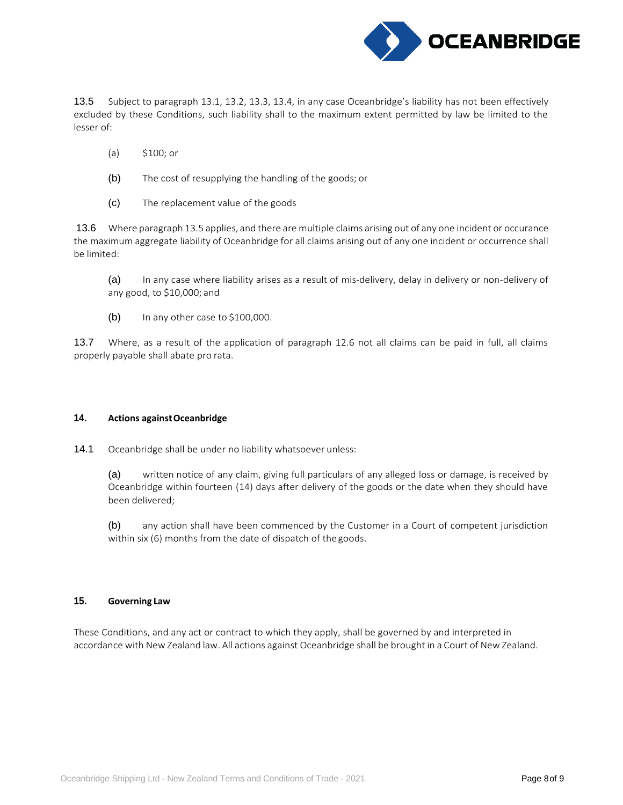

13.5 Subject to paragraph 13.1, 13.2, 13.3, 13.4, in any case Oceanbridge's liability has not been effectively excluded by these Conditions, such liability shall to the maximum extent permitted by law be limited to the lesser of:

- (a) \$100; or
- (b) The cost of resupplying the handling of the goods; or
- (c) The replacement value of the goods

13.6 Where paragraph 13.5 applies, and there are multiple claims arising out of any one incident or occurance the maximum aggregate liability of Oceanbridge for all claims arising out of any one incident or occurrence shall be limited:

(a) In any case where liability arises as a result of mis-delivery, delay in delivery or non-delivery of any good, to \$10,000; and

 $(b)$  In any other case to \$100,000.

13.7 Where, as a result of the application of paragraph 12.6 not all claims can be paid in full, all claims properly payable shall abate pro rata.

#### **14. Actions againstOceanbridge**

14.1 Oceanbridge shall be under no liability whatsoever unless:

(a) written notice of any claim, giving full particulars of any alleged loss or damage, is received by Oceanbridge within fourteen (14) days after delivery of the goods or the date when they should have been delivered;

(b) any action shall have been commenced by the Customer in a Court of competent jurisdiction within six (6) months from the date of dispatch of the goods.

## **15. Governing Law**

These Conditions, and any act or contract to which they apply, shall be governed by and interpreted in accordance with New Zealand law. All actions against Oceanbridge shall be brought in a Court of New Zealand.